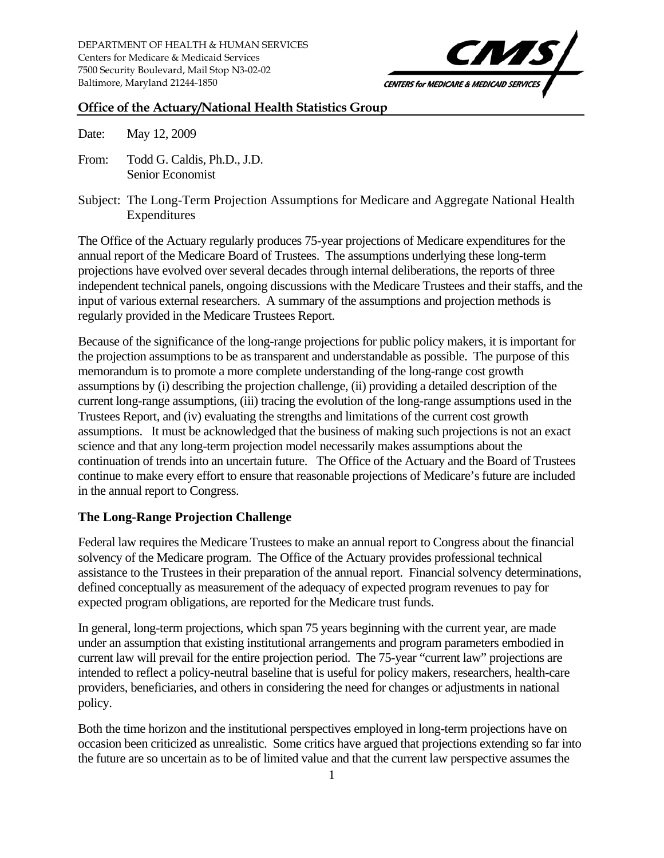

## **Office of the Actuary/National Health Statistics Group**

Date: May 12, 2009

- From: Todd G. Caldis, Ph.D., J.D. Senior Economist
- Subject: The Long-Term Projection Assumptions for Medicare and Aggregate National Health Expenditures

The Office of the Actuary regularly produces 75-year projections of Medicare expenditures for the annual report of the Medicare Board of Trustees. The assumptions underlying these long-term projections have evolved over several decades through internal deliberations, the reports of three independent technical panels, ongoing discussions with the Medicare Trustees and their staffs, and the input of various external researchers. A summary of the assumptions and projection methods is regularly provided in the Medicare Trustees Report.

Because of the significance of the long-range projections for public policy makers, it is important for the projection assumptions to be as transparent and understandable as possible. The purpose of this memorandum is to promote a more complete understanding of the long-range cost growth assumptions by (i) describing the projection challenge, (ii) providing a detailed description of the current long-range assumptions, (iii) tracing the evolution of the long-range assumptions used in the Trustees Report, and (iv) evaluating the strengths and limitations of the current cost growth assumptions. It must be acknowledged that the business of making such projections is not an exact science and that any long-term projection model necessarily makes assumptions about the continuation of trends into an uncertain future. The Office of the Actuary and the Board of Trustees continue to make every effort to ensure that reasonable projections of Medicare's future are included in the annual report to Congress.

# **The Long-Range Projection Challenge**

Federal law requires the Medicare Trustees to make an annual report to Congress about the financial solvency of the Medicare program. The Office of the Actuary provides professional technical assistance to the Trustees in their preparation of the annual report. Financial solvency determinations, defined conceptually as measurement of the adequacy of expected program revenues to pay for expected program obligations, are reported for the Medicare trust funds.

In general, long-term projections, which span 75 years beginning with the current year, are made under an assumption that existing institutional arrangements and program parameters embodied in current law will prevail for the entire projection period. The 75-year "current law" projections are intended to reflect a policy-neutral baseline that is useful for policy makers, researchers, health-care providers, beneficiaries, and others in considering the need for changes or adjustments in national policy.

Both the time horizon and the institutional perspectives employed in long-term projections have on occasion been criticized as unrealistic. Some critics have argued that projections extending so far into the future are so uncertain as to be of limited value and that the current law perspective assumes the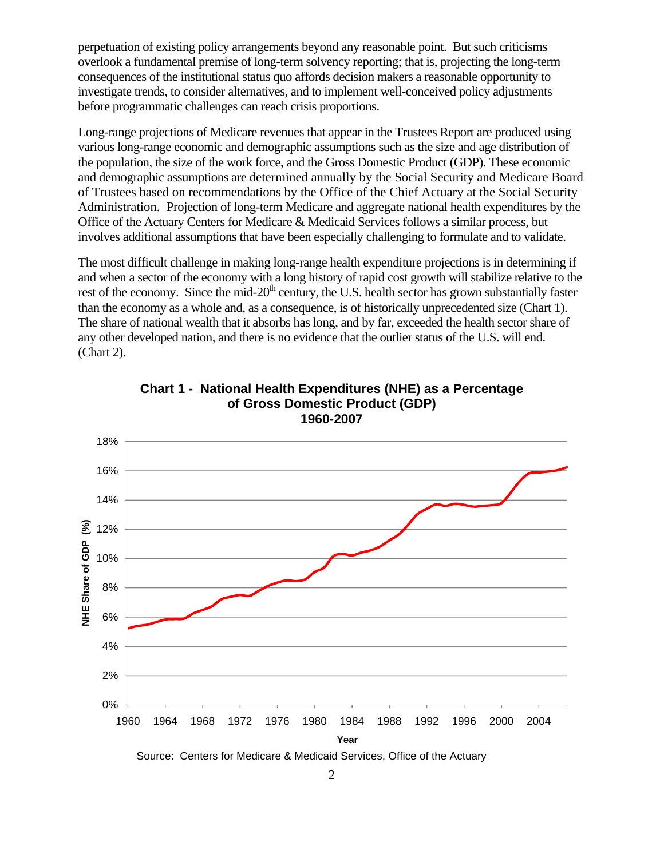perpetuation of existing policy arrangements beyond any reasonable point. But such criticisms overlook a fundamental premise of long-term solvency reporting; that is, projecting the long-term consequences of the institutional status quo affords decision makers a reasonable opportunity to investigate trends, to consider alternatives, and to implement well-conceived policy adjustments before programmatic challenges can reach crisis proportions.

Long-range projections of Medicare revenues that appear in the Trustees Report are produced using various long-range economic and demographic assumptions such as the size and age distribution of the population, the size of the work force, and the Gross Domestic Product (GDP). These economic and demographic assumptions are determined annually by the Social Security and Medicare Board of Trustees based on recommendations by the Office of the Chief Actuary at the Social Security Administration. Projection of long-term Medicare and aggregate national health expenditures by the Office of the Actuary Centers for Medicare & Medicaid Services follows a similar process, but involves additional assumptions that have been especially challenging to formulate and to validate.

The most difficult challenge in making long-range health expenditure projections is in determining if and when a sector of the economy with a long history of rapid cost growth will stabilize relative to the rest of the economy. Since the mid-20<sup>th</sup> century, the U.S. health sector has grown substantially faster than the economy as a whole and, as a consequence, is of historically unprecedented size (Chart 1). The share of national wealth that it absorbs has long, and by far, exceeded the health sector share of any other developed nation, and there is no evidence that the outlier status of the U.S. will end. (Chart 2).



**Chart 1 - National Health Expenditures (NHE) as a Percentage of Gross Domestic Product (GDP) 1960-2007** 

2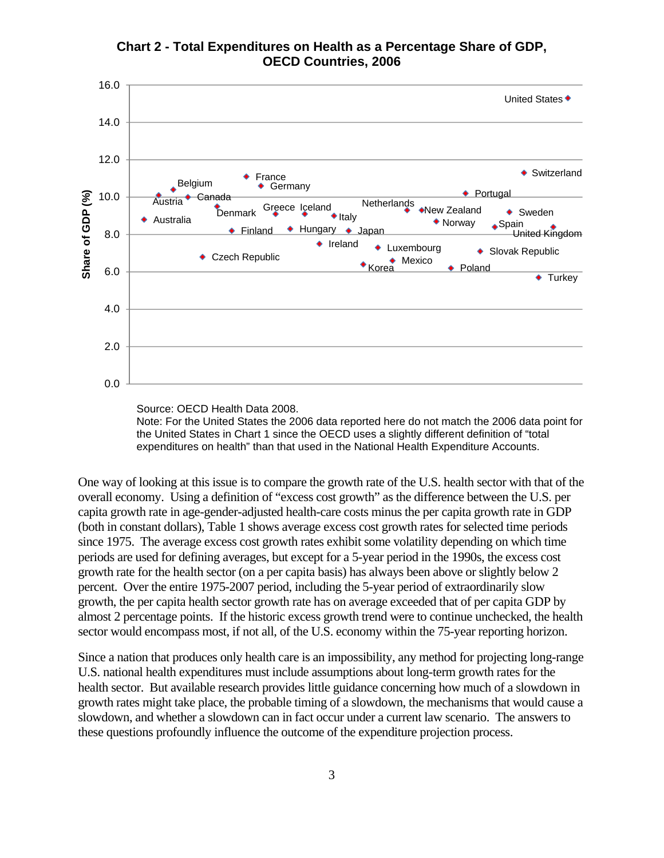



Source: OECD Health Data 2008. Note: For the United States the 2006 data reported here do not match the 2006 data point for the United States in Chart 1 since the OECD uses a slightly different definition of "total expenditures on health" than that used in the National Health Expenditure Accounts.

One way of looking at this issue is to compare the growth rate of the U.S. health sector with that of the overall economy. Using a definition of "excess cost growth" as the difference between the U.S. per capita growth rate in age-gender-adjusted health-care costs minus the per capita growth rate in GDP (both in constant dollars), Table 1 shows average excess cost growth rates for selected time periods since 1975. The average excess cost growth rates exhibit some volatility depending on which time periods are used for defining averages, but except for a 5-year period in the 1990s, the excess cost growth rate for the health sector (on a per capita basis) has always been above or slightly below 2 percent. Over the entire 1975-2007 period, including the 5-year period of extraordinarily slow growth, the per capita health sector growth rate has on average exceeded that of per capita GDP by almost 2 percentage points. If the historic excess growth trend were to continue unchecked, the health sector would encompass most, if not all, of the U.S. economy within the 75-year reporting horizon.

Since a nation that produces only health care is an impossibility, any method for projecting long-range U.S. national health expenditures must include assumptions about long-term growth rates for the health sector. But available research provides little guidance concerning how much of a slowdown in growth rates might take place, the probable timing of a slowdown, the mechanisms that would cause a slowdown, and whether a slowdown can in fact occur under a current law scenario. The answers to these questions profoundly influence the outcome of the expenditure projection process.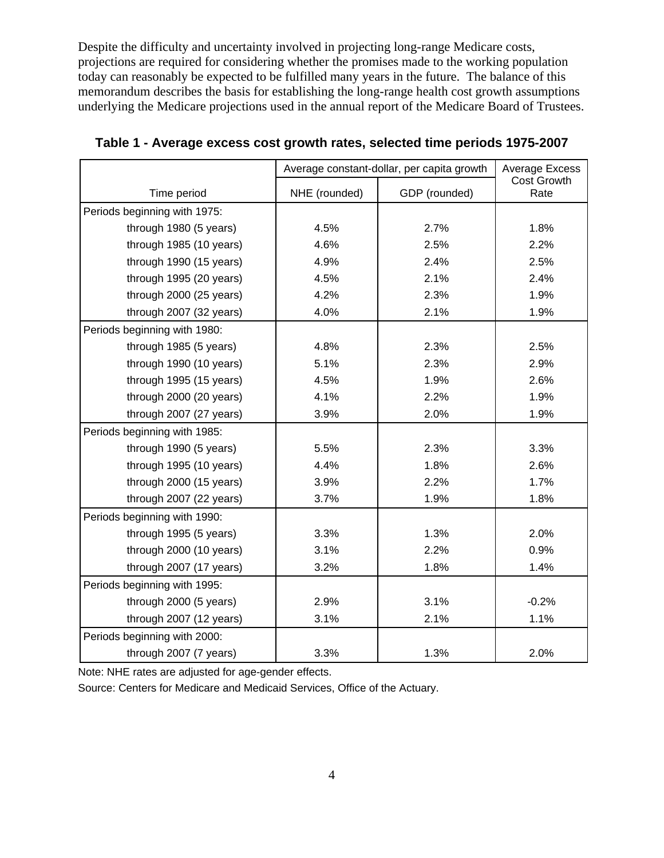Despite the difficulty and uncertainty involved in projecting long-range Medicare costs, projections are required for considering whether the promises made to the working population today can reasonably be expected to be fulfilled many years in the future. The balance of this memorandum describes the basis for establishing the long-range health cost growth assumptions underlying the Medicare projections used in the annual report of the Medicare Board of Trustees.

|                              | Average constant-dollar, per capita growth |               | <b>Average Excess</b> |
|------------------------------|--------------------------------------------|---------------|-----------------------|
| Time period                  | NHE (rounded)                              | GDP (rounded) | Cost Growth<br>Rate   |
| Periods beginning with 1975: |                                            |               |                       |
| through 1980 (5 years)       | 4.5%                                       | 2.7%          | 1.8%                  |
| through 1985 (10 years)      | 4.6%                                       | 2.5%          | 2.2%                  |
| through 1990 (15 years)      | 4.9%                                       | 2.4%          | 2.5%                  |
| through 1995 (20 years)      | 4.5%                                       | 2.1%          | 2.4%                  |
| through 2000 (25 years)      | 4.2%                                       | 2.3%          | 1.9%                  |
| through 2007 (32 years)      | 4.0%                                       | 2.1%          | 1.9%                  |
| Periods beginning with 1980: |                                            |               |                       |
| through 1985 (5 years)       | 4.8%                                       | 2.3%          | 2.5%                  |
| through 1990 (10 years)      | 5.1%                                       | 2.3%          | 2.9%                  |
| through 1995 (15 years)      | 4.5%                                       | 1.9%          | 2.6%                  |
| through 2000 (20 years)      | 4.1%                                       | 2.2%          | 1.9%                  |
| through 2007 (27 years)      | 3.9%                                       | 2.0%          | 1.9%                  |
| Periods beginning with 1985: |                                            |               |                       |
| through 1990 (5 years)       | 5.5%                                       | 2.3%          | 3.3%                  |
| through 1995 (10 years)      | 4.4%                                       | 1.8%          | 2.6%                  |
| through 2000 (15 years)      | 3.9%                                       | 2.2%          | 1.7%                  |
| through 2007 (22 years)      | 3.7%                                       | 1.9%          | 1.8%                  |
| Periods beginning with 1990: |                                            |               |                       |
| through 1995 (5 years)       | 3.3%                                       | 1.3%          | 2.0%                  |
| through 2000 (10 years)      | 3.1%                                       | 2.2%          | 0.9%                  |
| through 2007 (17 years)      | 3.2%                                       | 1.8%          | 1.4%                  |
| Periods beginning with 1995: |                                            |               |                       |
| through 2000 (5 years)       | 2.9%                                       | 3.1%          | $-0.2%$               |
| through 2007 (12 years)      | 3.1%                                       | 2.1%          | 1.1%                  |
| Periods beginning with 2000: |                                            |               |                       |
| through 2007 (7 years)       | 3.3%                                       | 1.3%          | 2.0%                  |

**Table 1 - Average excess cost growth rates, selected time periods 1975-2007** 

Note: NHE rates are adjusted for age-gender effects.

Source: Centers for Medicare and Medicaid Services, Office of the Actuary.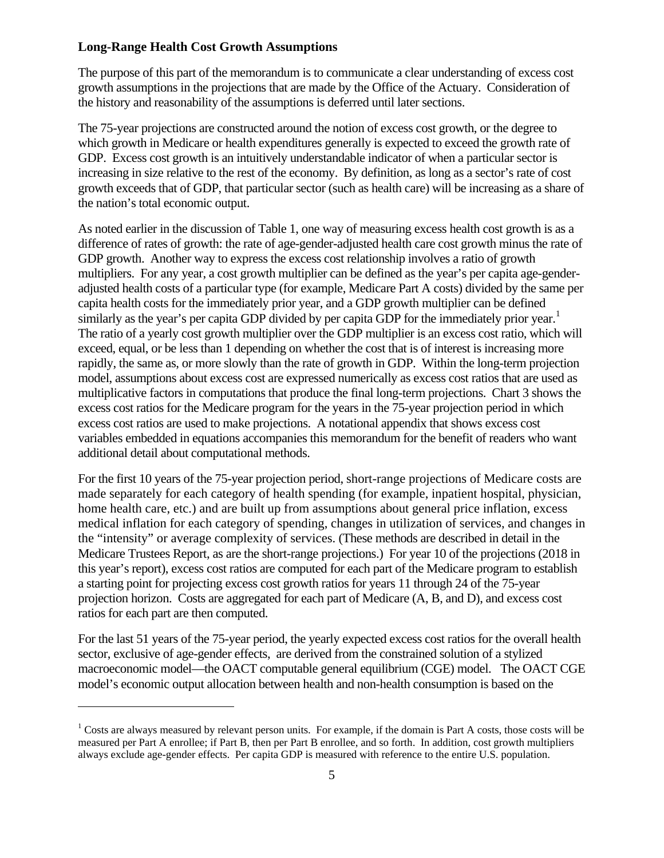## **Long-Range Health Cost Growth Assumptions**

The purpose of this part of the memorandum is to communicate a clear understanding of excess cost growth assumptions in the projections that are made by the Office of the Actuary. Consideration of the history and reasonability of the assumptions is deferred until later sections.

The 75-year projections are constructed around the notion of excess cost growth, or the degree to which growth in Medicare or health expenditures generally is expected to exceed the growth rate of GDP. Excess cost growth is an intuitively understandable indicator of when a particular sector is increasing in size relative to the rest of the economy. By definition, as long as a sector's rate of cost growth exceeds that of GDP, that particular sector (such as health care) will be increasing as a share of the nation's total economic output.

As noted earlier in the discussion of Table 1, one way of measuring excess health cost growth is as a difference of rates of growth: the rate of age-gender-adjusted health care cost growth minus the rate of GDP growth. Another way to express the excess cost relationship involves a ratio of growth multipliers. For any year, a cost growth multiplier can be defined as the year's per capita age-genderadjusted health costs of a particular type (for example, Medicare Part A costs) divided by the same per capita health costs for the immediately prior year, and a GDP growth multiplier can be defined similarly as the year's per capita GDP divided by per capita GDP for the immediately prior year.<sup>[1](#page-4-0)</sup> The ratio of a yearly cost growth multiplier over the GDP multiplier is an excess cost ratio, which will exceed, equal, or be less than 1 depending on whether the cost that is of interest is increasing more rapidly, the same as, or more slowly than the rate of growth in GDP. Within the long-term projection model, assumptions about excess cost are expressed numerically as excess cost ratios that are used as multiplicative factors in computations that produce the final long-term projections. Chart 3 shows the excess cost ratios for the Medicare program for the years in the 75-year projection period in which excess cost ratios are used to make projections. A notational appendix that shows excess cost variables embedded in equations accompanies this memorandum for the benefit of readers who want additional detail about computational methods.

For the first 10 years of the 75-year projection period, short-range projections of Medicare costs are made separately for each category of health spending (for example, inpatient hospital, physician, home health care, etc.) and are built up from assumptions about general price inflation, excess medical inflation for each category of spending, changes in utilization of services, and changes in the "intensity" or average complexity of services. (These methods are described in detail in the Medicare Trustees Report, as are the short-range projections.) For year 10 of the projections (2018 in this year's report), excess cost ratios are computed for each part of the Medicare program to establish a starting point for projecting excess cost growth ratios for years 11 through 24 of the 75-year projection horizon. Costs are aggregated for each part of Medicare (A, B, and D), and excess cost ratios for each part are then computed.

For the last 51 years of the 75-year period, the yearly expected excess cost ratios for the overall health sector, exclusive of age-gender effects, are derived from the constrained solution of a stylized macroeconomic model—the OACT computable general equilibrium (CGE) model. The OACT CGE model's economic output allocation between health and non-health consumption is based on the

<span id="page-4-0"></span> $1$  Costs are always measured by relevant person units. For example, if the domain is Part A costs, those costs will be measured per Part A enrollee; if Part B, then per Part B enrollee, and so forth. In addition, cost growth multipliers always exclude age-gender effects. Per capita GDP is measured with reference to the entire U.S. population.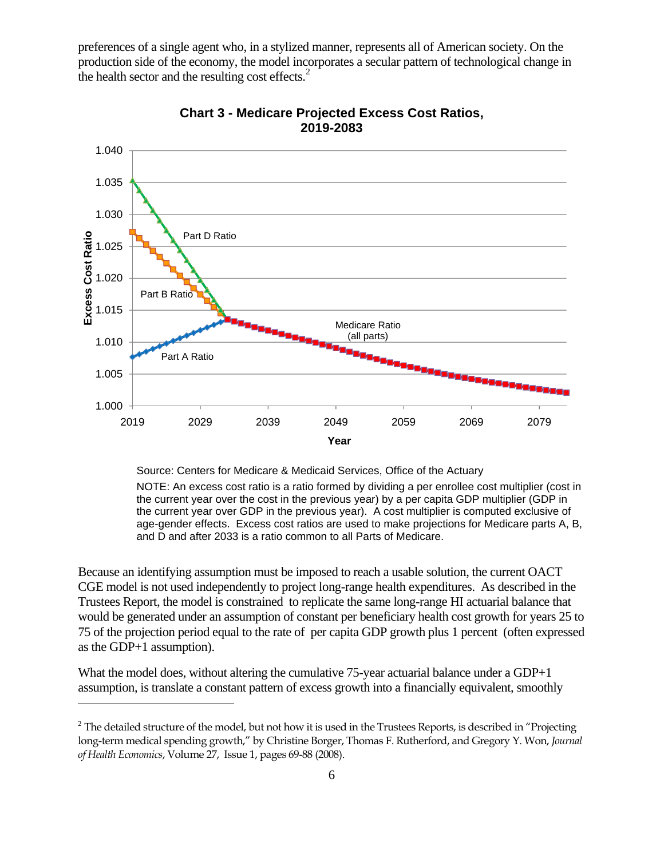preferences of a single agent who, in a stylized manner, represents all of American society. On the production side of the economy, the model incorporates a secular pattern of technological change in the health sector and the resulting cost effects. $2$ 



**Chart 3 - Medicare Projected Excess Cost Ratios, 2019-2083** 

Source: Centers for Medicare & Medicaid Services, Office of the Actuary

NOTE: An excess cost ratio is a ratio formed by dividing a per enrollee cost multiplier (cost in the current year over the cost in the previous year) by a per capita GDP multiplier (GDP in the current year over GDP in the previous year). A cost multiplier is computed exclusive of age-gender effects. Excess cost ratios are used to make projections for Medicare parts A, B, and D and after 2033 is a ratio common to all Parts of Medicare.

Because an identifying assumption must be imposed to reach a usable solution, the current OACT CGE model is not used independently to project long-range health expenditures. As described in the Trustees Report, the model is constrained to replicate the same long-range HI actuarial balance that would be generated under an assumption of constant per beneficiary health cost growth for years 25 to 75 of the projection period equal to the rate of per capita GDP growth plus 1 percent (often expressed as the GDP+1 assumption).

What the model does, without altering the cumulative 75-year actuarial balance under a GDP+1 assumption, is translate a constant pattern of excess growth into a financially equivalent, smoothly

1

<span id="page-5-0"></span> $2$  The detailed structure of the model, but not how it is used in the Trustees Reports, is described in "Projecting long-term medical spending growth," by Christine Borger, Thomas F. Rutherford, and Gregory Y. Won, *Journal of Health Economics*, Volume 27, Issue 1, pages 69-88 (2008).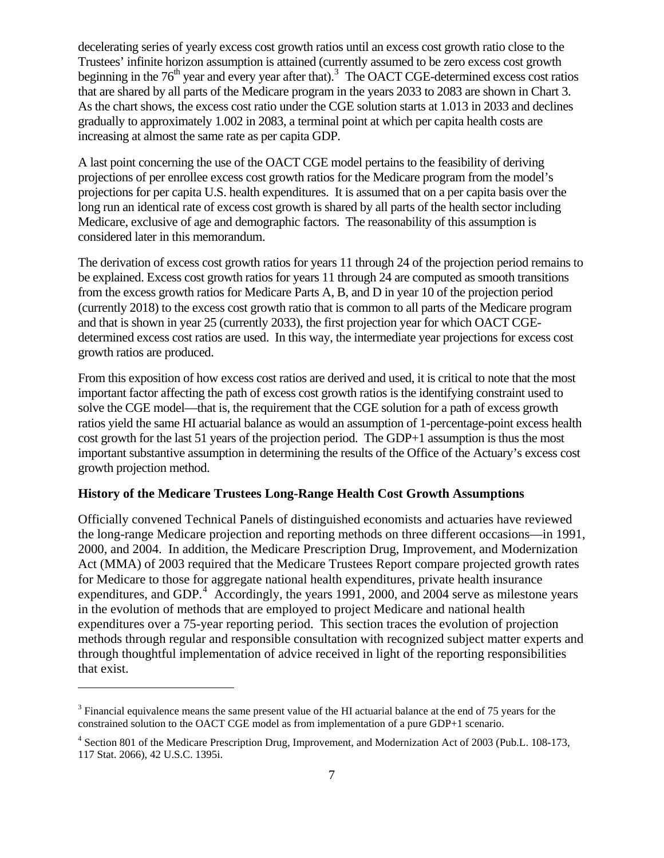decelerating series of yearly excess cost growth ratios until an excess cost growth ratio close to the Trustees' infinite horizon assumption is attained (currently assumed to be zero excess cost growth beginning in the  $76<sup>th</sup>$  year and every year after that).<sup>3</sup> The OACT CGE-determined excess cost ratios that are shared by all parts of the Medicare program in the years 2033 to 2083 are shown in Chart 3. As the chart shows, the excess cost ratio under the CGE solution starts at 1.013 in 2033 and declines gradually to approximately 1.002 in 2083, a terminal point at which per capita health costs are increasing at almost the same rate as per capita GDP.

A last point concerning the use of the OACT CGE model pertains to the feasibility of deriving projections of per enrollee excess cost growth ratios for the Medicare program from the model's projections for per capita U.S. health expenditures. It is assumed that on a per capita basis over the long run an identical rate of excess cost growth is shared by all parts of the health sector including Medicare, exclusive of age and demographic factors. The reasonability of this assumption is considered later in this memorandum.

The derivation of excess cost growth ratios for years 11 through 24 of the projection period remains to be explained. Excess cost growth ratios for years 11 through 24 are computed as smooth transitions from the excess growth ratios for Medicare Parts A, B, and D in year 10 of the projection period (currently 2018) to the excess cost growth ratio that is common to all parts of the Medicare program and that is shown in year 25 (currently 2033), the first projection year for which OACT CGEdetermined excess cost ratios are used. In this way, the intermediate year projections for excess cost growth ratios are produced.

From this exposition of how excess cost ratios are derived and used, it is critical to note that the most important factor affecting the path of excess cost growth ratios is the identifying constraint used to solve the CGE model—that is, the requirement that the CGE solution for a path of excess growth ratios yield the same HI actuarial balance as would an assumption of 1-percentage-point excess health cost growth for the last 51 years of the projection period. The GDP+1 assumption is thus the most important substantive assumption in determining the results of the Office of the Actuary's excess cost growth projection method.

## **History of the Medicare Trustees Long-Range Health Cost Growth Assumptions**

Officially convened Technical Panels of distinguished economists and actuaries have reviewed the long-range Medicare projection and reporting methods on three different occasions—in 1991, 2000, and 2004. In addition, the Medicare Prescription Drug, Improvement, and Modernization Act (MMA) of 2003 required that the Medicare Trustees Report compare projected growth rates for Medicare to those for aggregate national health expenditures, private health insurance expenditures, and GDP. $4$  Accordingly, the years 1991, 2000, and 2004 serve as milestone years in the evolution of methods that are employed to project Medicare and national health expenditures over a 75-year reporting period. This section traces the evolution of projection methods through regular and responsible consultation with recognized subject matter experts and through thoughtful implementation of advice received in light of the reporting responsibilities that exist.

<span id="page-6-0"></span> $3$  Financial equivalence means the same present value of the HI actuarial balance at the end of 75 years for the constrained solution to the OACT CGE model as from implementation of a pure GDP+1 scenario.

<span id="page-6-1"></span><sup>&</sup>lt;sup>4</sup> Section 801 of the Medicare Prescription Drug, Improvement, and Modernization Act of 2003 (Pub.L. 108-173, 117 Stat. 2066), 42 U.S.C. 1395i.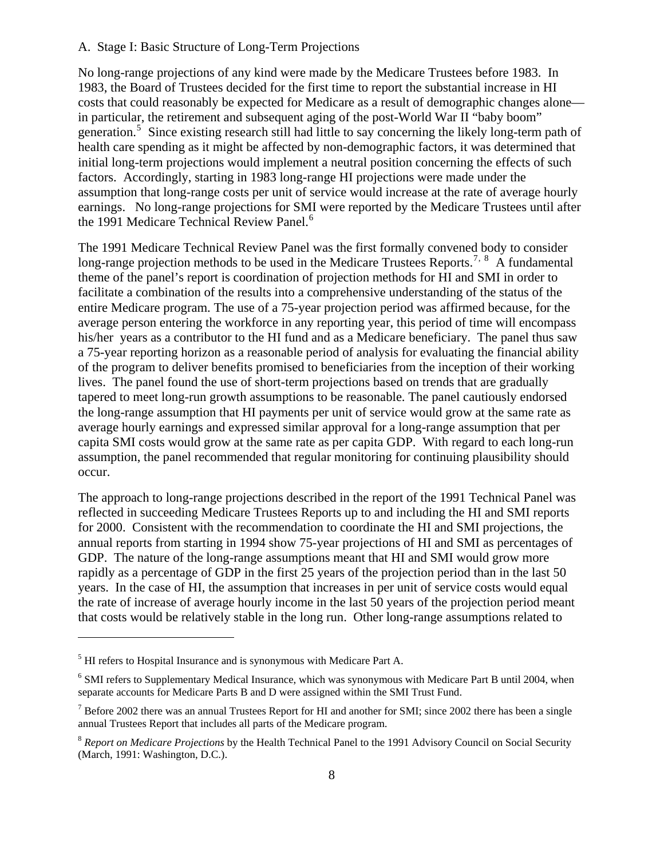#### A. Stage I: Basic Structure of Long-Term Projections

No long-range projections of any kind were made by the Medicare Trustees before 1983. In 1983, the Board of Trustees decided for the first time to report the substantial increase in HI costs that could reasonably be expected for Medicare as a result of demographic changes alone in particular, the retirement and subsequent aging of the post-World War II "baby boom" generation.<sup>[5](#page-7-0)</sup> Since existing research still had little to say concerning the likely long-term path of health care spending as it might be affected by non-demographic factors, it was determined that initial long-term projections would implement a neutral position concerning the effects of such factors. Accordingly, starting in 1983 long-range HI projections were made under the assumption that long-range costs per unit of service would increase at the rate of average hourly earnings. No long-range projections for SMI were reported by the Medicare Trustees until after the 1991 Medicare Technical Review Panel.<sup>[6](#page-7-1)</sup>

The 1991 Medicare Technical Review Panel was the first formally convened body to consider long-range projection methods to be used in the Medicare Trustees Reports.<sup>[7](#page-7-2), [8](#page-7-3)</sup> A fundamental theme of the panel's report is coordination of projection methods for HI and SMI in order to facilitate a combination of the results into a comprehensive understanding of the status of the entire Medicare program. The use of a 75-year projection period was affirmed because, for the average person entering the workforce in any reporting year, this period of time will encompass his/her years as a contributor to the HI fund and as a Medicare beneficiary. The panel thus saw a 75-year reporting horizon as a reasonable period of analysis for evaluating the financial ability of the program to deliver benefits promised to beneficiaries from the inception of their working lives. The panel found the use of short-term projections based on trends that are gradually tapered to meet long-run growth assumptions to be reasonable. The panel cautiously endorsed the long-range assumption that HI payments per unit of service would grow at the same rate as average hourly earnings and expressed similar approval for a long-range assumption that per capita SMI costs would grow at the same rate as per capita GDP. With regard to each long-run assumption, the panel recommended that regular monitoring for continuing plausibility should occur.

The approach to long-range projections described in the report of the 1991 Technical Panel was reflected in succeeding Medicare Trustees Reports up to and including the HI and SMI reports for 2000. Consistent with the recommendation to coordinate the HI and SMI projections, the annual reports from starting in 1994 show 75-year projections of HI and SMI as percentages of GDP. The nature of the long-range assumptions meant that HI and SMI would grow more rapidly as a percentage of GDP in the first 25 years of the projection period than in the last 50 years. In the case of HI, the assumption that increases in per unit of service costs would equal the rate of increase of average hourly income in the last 50 years of the projection period meant that costs would be relatively stable in the long run. Other long-range assumptions related to

<span id="page-7-0"></span> $<sup>5</sup>$  HI refers to Hospital Insurance and is synonymous with Medicare Part A.</sup>

<span id="page-7-1"></span><sup>&</sup>lt;sup>6</sup> SMI refers to Supplementary Medical Insurance, which was synonymous with Medicare Part B until 2004, when separate accounts for Medicare Parts B and D were assigned within the SMI Trust Fund.

<span id="page-7-2"></span> $^7$  Before 2002 there was an annual Trustees Report for HI and another for SMI; since 2002 there has been a single annual Trustees Report that includes all parts of the Medicare program.

<span id="page-7-3"></span><sup>8</sup> *Report on Medicare Projections* by the Health Technical Panel to the 1991 Advisory Council on Social Security (March, 1991: Washington, D.C.).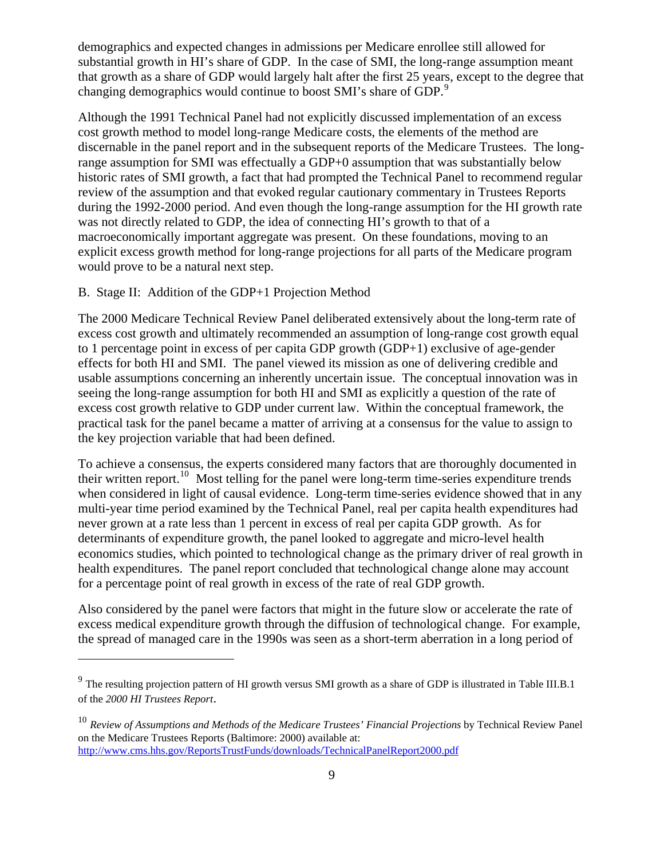demographics and expected changes in admissions per Medicare enrollee still allowed for substantial growth in HI's share of GDP. In the case of SMI, the long-range assumption meant that growth as a share of GDP would largely halt after the first 25 years, except to the degree that changing demographics would continue to boost SMI's share of GDP.<sup>[9](#page-8-0)</sup>

Although the 1991 Technical Panel had not explicitly discussed implementation of an excess cost growth method to model long-range Medicare costs, the elements of the method are discernable in the panel report and in the subsequent reports of the Medicare Trustees. The longrange assumption for SMI was effectually a GDP+0 assumption that was substantially below historic rates of SMI growth, a fact that had prompted the Technical Panel to recommend regular review of the assumption and that evoked regular cautionary commentary in Trustees Reports during the 1992-2000 period. And even though the long-range assumption for the HI growth rate was not directly related to GDP, the idea of connecting HI's growth to that of a macroeconomically important aggregate was present. On these foundations, moving to an explicit excess growth method for long-range projections for all parts of the Medicare program would prove to be a natural next step.

# B. Stage II: Addition of the GDP+1 Projection Method

 $\overline{a}$ 

The 2000 Medicare Technical Review Panel deliberated extensively about the long-term rate of excess cost growth and ultimately recommended an assumption of long-range cost growth equal to 1 percentage point in excess of per capita GDP growth (GDP+1) exclusive of age-gender effects for both HI and SMI. The panel viewed its mission as one of delivering credible and usable assumptions concerning an inherently uncertain issue. The conceptual innovation was in seeing the long-range assumption for both HI and SMI as explicitly a question of the rate of excess cost growth relative to GDP under current law. Within the conceptual framework, the practical task for the panel became a matter of arriving at a consensus for the value to assign to the key projection variable that had been defined.

To achieve a consensus, the experts considered many factors that are thoroughly documented in their written report.<sup>[10](#page-8-1)</sup> Most telling for the panel were long-term time-series expenditure trends when considered in light of causal evidence. Long-term time-series evidence showed that in any multi-year time period examined by the Technical Panel, real per capita health expenditures had never grown at a rate less than 1 percent in excess of real per capita GDP growth. As for determinants of expenditure growth, the panel looked to aggregate and micro-level health economics studies, which pointed to technological change as the primary driver of real growth in health expenditures. The panel report concluded that technological change alone may account for a percentage point of real growth in excess of the rate of real GDP growth.

Also considered by the panel were factors that might in the future slow or accelerate the rate of excess medical expenditure growth through the diffusion of technological change. For example, the spread of managed care in the 1990s was seen as a short-term aberration in a long period of

<span id="page-8-0"></span> $9$  The resulting projection pattern of HI growth versus SMI growth as a share of GDP is illustrated in Table III.B.1 of the *2000 HI Trustees Report*.

<span id="page-8-1"></span><sup>10</sup> *Review of Assumptions and Methods of the Medicare Trustees' Financial Projections* by Technical Review Panel on the Medicare Trustees Reports (Baltimore: 2000) available at: <http://www.cms.hhs.gov/ReportsTrustFunds/downloads/TechnicalPanelReport2000.pdf>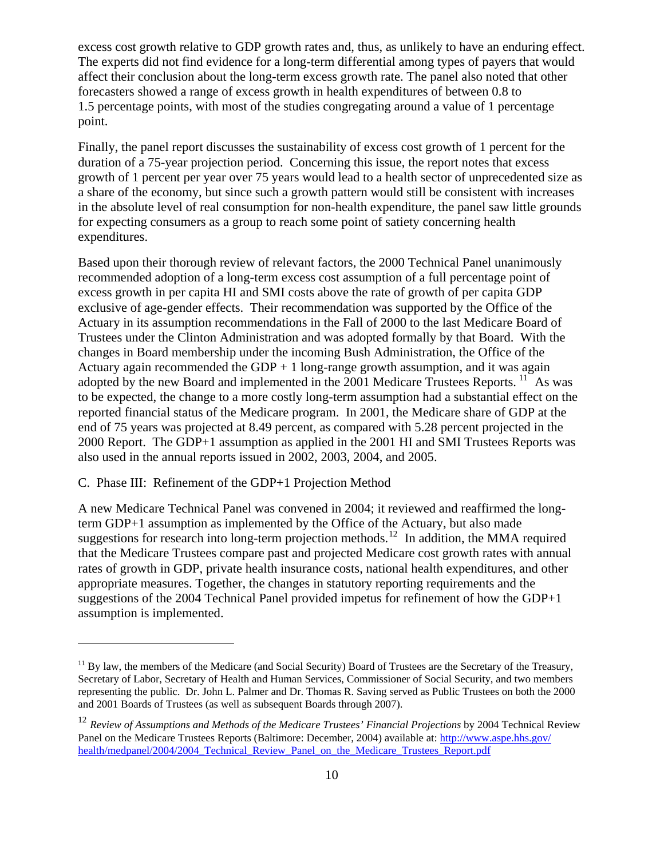excess cost growth relative to GDP growth rates and, thus, as unlikely to have an enduring effect. The experts did not find evidence for a long-term differential among types of payers that would affect their conclusion about the long-term excess growth rate. The panel also noted that other forecasters showed a range of excess growth in health expenditures of between 0.8 to 1.5 percentage points, with most of the studies congregating around a value of 1 percentage point.

Finally, the panel report discusses the sustainability of excess cost growth of 1 percent for the duration of a 75-year projection period. Concerning this issue, the report notes that excess growth of 1 percent per year over 75 years would lead to a health sector of unprecedented size as a share of the economy, but since such a growth pattern would still be consistent with increases in the absolute level of real consumption for non-health expenditure, the panel saw little grounds for expecting consumers as a group to reach some point of satiety concerning health expenditures.

Based upon their thorough review of relevant factors, the 2000 Technical Panel unanimously recommended adoption of a long-term excess cost assumption of a full percentage point of excess growth in per capita HI and SMI costs above the rate of growth of per capita GDP exclusive of age-gender effects. Their recommendation was supported by the Office of the Actuary in its assumption recommendations in the Fall of 2000 to the last Medicare Board of Trustees under the Clinton Administration and was adopted formally by that Board. With the changes in Board membership under the incoming Bush Administration, the Office of the Actuary again recommended the GDP  $+1$  long-range growth assumption, and it was again adopted by the new Board and implemented in the  $2001$  Medicare Trustees Reports.<sup>[11](#page-9-0)</sup> As was to be expected, the change to a more costly long-term assumption had a substantial effect on the reported financial status of the Medicare program. In 2001, the Medicare share of GDP at the end of 75 years was projected at 8.49 percent, as compared with 5.28 percent projected in the 2000 Report. The GDP+1 assumption as applied in the 2001 HI and SMI Trustees Reports was also used in the annual reports issued in 2002, 2003, 2004, and 2005.

# C. Phase III: Refinement of the GDP+1 Projection Method

 $\overline{a}$ 

A new Medicare Technical Panel was convened in 2004; it reviewed and reaffirmed the longterm GDP+1 assumption as implemented by the Office of the Actuary, but also made suggestions for research into long-term projection methods.<sup>[12](#page-9-1)</sup> In addition, the MMA required that the Medicare Trustees compare past and projected Medicare cost growth rates with annual rates of growth in GDP, private health insurance costs, national health expenditures, and other appropriate measures. Together, the changes in statutory reporting requirements and the suggestions of the 2004 Technical Panel provided impetus for refinement of how the GDP+1 assumption is implemented.

<span id="page-9-0"></span> $11$  By law, the members of the Medicare (and Social Security) Board of Trustees are the Secretary of the Treasury, Secretary of Labor, Secretary of Health and Human Services, Commissioner of Social Security, and two members representing the public. Dr. John L. Palmer and Dr. Thomas R. Saving served as Public Trustees on both the 2000 and 2001 Boards of Trustees (as well as subsequent Boards through 2007).

<span id="page-9-1"></span><sup>&</sup>lt;sup>12</sup> *Review of Assumptions and Methods of the Medicare Trustees' Financial Projections* by 2004 Technical Review Panel on the Medicare Trustees Reports (Baltimore: December, 2004) available at: [http://www.aspe.hhs.gov/](http://www.aspe.hhs.gov/health/medpanel/2004/2004_Technical_Review_Panel_on_the_Medicare_Trustees_Report.pdf) [health/medpanel/2004/2004\\_Technical\\_Review\\_Panel\\_on\\_the\\_Medicare\\_Trustees\\_Report.pdf](http://www.aspe.hhs.gov/health/medpanel/2004/2004_Technical_Review_Panel_on_the_Medicare_Trustees_Report.pdf)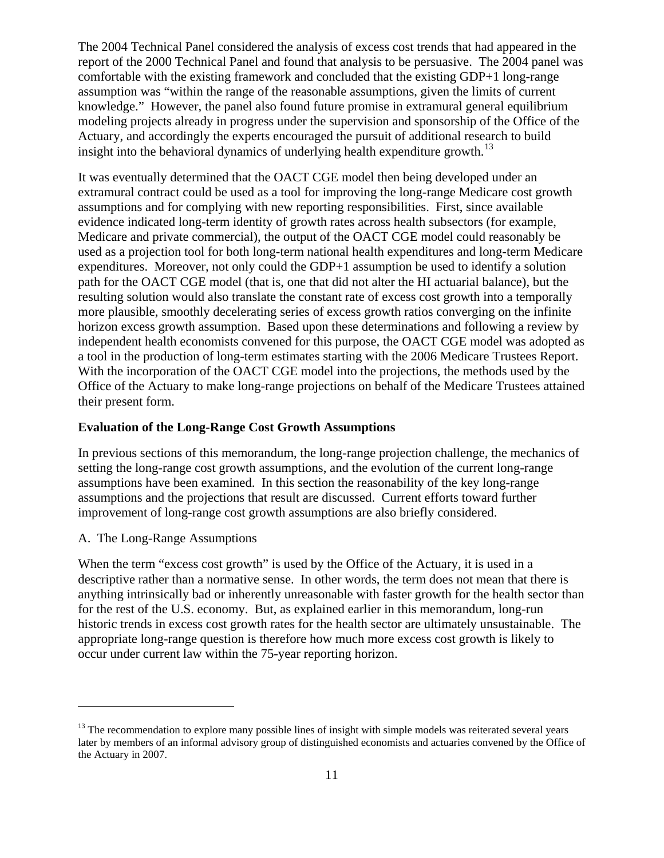The 2004 Technical Panel considered the analysis of excess cost trends that had appeared in the report of the 2000 Technical Panel and found that analysis to be persuasive. The 2004 panel was comfortable with the existing framework and concluded that the existing GDP+1 long-range assumption was "within the range of the reasonable assumptions, given the limits of current knowledge." However, the panel also found future promise in extramural general equilibrium modeling projects already in progress under the supervision and sponsorship of the Office of the Actuary, and accordingly the experts encouraged the pursuit of additional research to build insight into the behavioral dynamics of underlying health expenditure growth.<sup>[13](#page-10-0)</sup>

It was eventually determined that the OACT CGE model then being developed under an extramural contract could be used as a tool for improving the long-range Medicare cost growth assumptions and for complying with new reporting responsibilities. First, since available evidence indicated long-term identity of growth rates across health subsectors (for example, Medicare and private commercial), the output of the OACT CGE model could reasonably be used as a projection tool for both long-term national health expenditures and long-term Medicare expenditures. Moreover, not only could the GDP+1 assumption be used to identify a solution path for the OACT CGE model (that is, one that did not alter the HI actuarial balance), but the resulting solution would also translate the constant rate of excess cost growth into a temporally more plausible, smoothly decelerating series of excess growth ratios converging on the infinite horizon excess growth assumption. Based upon these determinations and following a review by independent health economists convened for this purpose, the OACT CGE model was adopted as a tool in the production of long-term estimates starting with the 2006 Medicare Trustees Report. With the incorporation of the OACT CGE model into the projections, the methods used by the Office of the Actuary to make long-range projections on behalf of the Medicare Trustees attained their present form.

#### **Evaluation of the Long-Range Cost Growth Assumptions**

In previous sections of this memorandum, the long-range projection challenge, the mechanics of setting the long-range cost growth assumptions, and the evolution of the current long-range assumptions have been examined. In this section the reasonability of the key long-range assumptions and the projections that result are discussed. Current efforts toward further improvement of long-range cost growth assumptions are also briefly considered.

A. The Long-Range Assumptions

 $\overline{a}$ 

When the term "excess cost growth" is used by the Office of the Actuary, it is used in a descriptive rather than a normative sense. In other words, the term does not mean that there is anything intrinsically bad or inherently unreasonable with faster growth for the health sector than for the rest of the U.S. economy. But, as explained earlier in this memorandum, long-run historic trends in excess cost growth rates for the health sector are ultimately unsustainable. The appropriate long-range question is therefore how much more excess cost growth is likely to occur under current law within the 75-year reporting horizon.

<span id="page-10-0"></span> $<sup>13</sup>$  The recommendation to explore many possible lines of insight with simple models was reiterated several years</sup> later by members of an informal advisory group of distinguished economists and actuaries convened by the Office of the Actuary in 2007.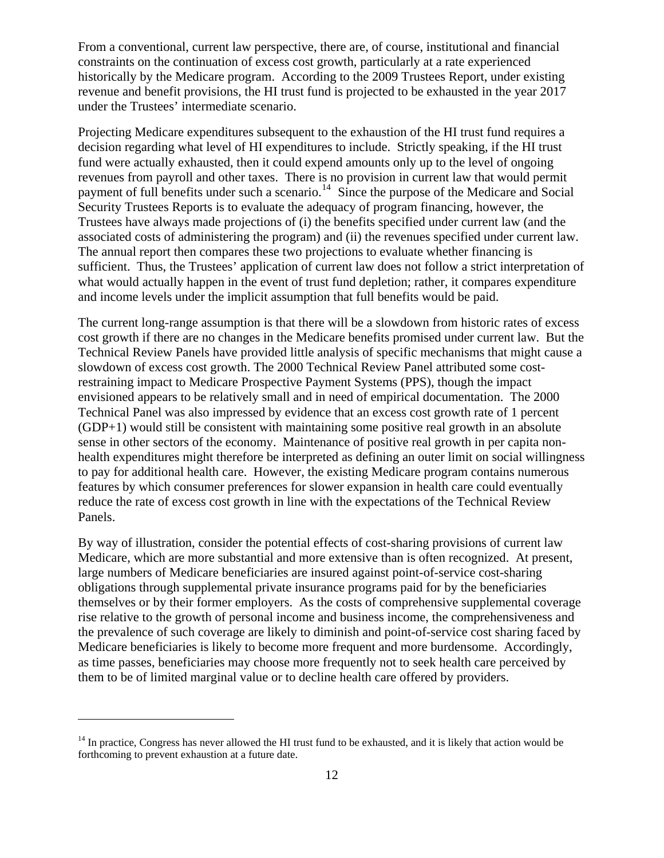From a conventional, current law perspective, there are, of course, institutional and financial constraints on the continuation of excess cost growth, particularly at a rate experienced historically by the Medicare program. According to the 2009 Trustees Report, under existing revenue and benefit provisions, the HI trust fund is projected to be exhausted in the year 2017 under the Trustees' intermediate scenario.

Projecting Medicare expenditures subsequent to the exhaustion of the HI trust fund requires a decision regarding what level of HI expenditures to include. Strictly speaking, if the HI trust fund were actually exhausted, then it could expend amounts only up to the level of ongoing revenues from payroll and other taxes. There is no provision in current law that would permit payment of full benefits under such a scenario.<sup>[14](#page-11-0)</sup> Since the purpose of the Medicare and Social Security Trustees Reports is to evaluate the adequacy of program financing, however, the Trustees have always made projections of (i) the benefits specified under current law (and the associated costs of administering the program) and (ii) the revenues specified under current law. The annual report then compares these two projections to evaluate whether financing is sufficient. Thus, the Trustees' application of current law does not follow a strict interpretation of what would actually happen in the event of trust fund depletion; rather, it compares expenditure and income levels under the implicit assumption that full benefits would be paid.

The current long-range assumption is that there will be a slowdown from historic rates of excess cost growth if there are no changes in the Medicare benefits promised under current law. But the Technical Review Panels have provided little analysis of specific mechanisms that might cause a slowdown of excess cost growth. The 2000 Technical Review Panel attributed some costrestraining impact to Medicare Prospective Payment Systems (PPS), though the impact envisioned appears to be relatively small and in need of empirical documentation. The 2000 Technical Panel was also impressed by evidence that an excess cost growth rate of 1 percent (GDP+1) would still be consistent with maintaining some positive real growth in an absolute sense in other sectors of the economy. Maintenance of positive real growth in per capita nonhealth expenditures might therefore be interpreted as defining an outer limit on social willingness to pay for additional health care. However, the existing Medicare program contains numerous features by which consumer preferences for slower expansion in health care could eventually reduce the rate of excess cost growth in line with the expectations of the Technical Review Panels.

By way of illustration, consider the potential effects of cost-sharing provisions of current law Medicare, which are more substantial and more extensive than is often recognized. At present, large numbers of Medicare beneficiaries are insured against point-of-service cost-sharing obligations through supplemental private insurance programs paid for by the beneficiaries themselves or by their former employers. As the costs of comprehensive supplemental coverage rise relative to the growth of personal income and business income, the comprehensiveness and the prevalence of such coverage are likely to diminish and point-of-service cost sharing faced by Medicare beneficiaries is likely to become more frequent and more burdensome. Accordingly, as time passes, beneficiaries may choose more frequently not to seek health care perceived by them to be of limited marginal value or to decline health care offered by providers.

<span id="page-11-0"></span> $14$  In practice, Congress has never allowed the HI trust fund to be exhausted, and it is likely that action would be forthcoming to prevent exhaustion at a future date.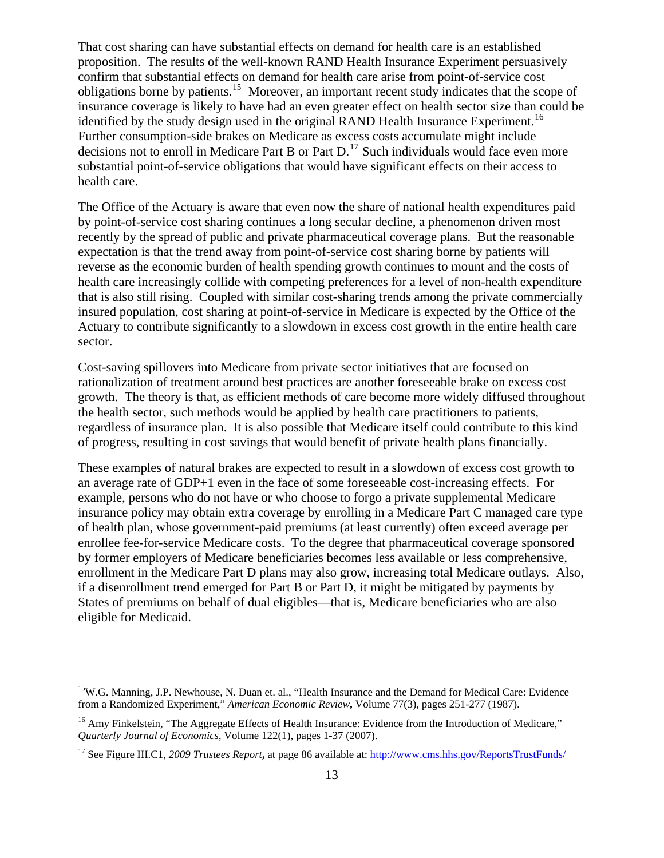That cost sharing can have substantial effects on demand for health care is an established proposition. The results of the well-known RAND Health Insurance Experiment persuasively confirm that substantial effects on demand for health care arise from point-of-service cost obligations borne by patients.[15](#page-12-0) Moreover, an important recent study indicates that the scope of insurance coverage is likely to have had an even greater effect on health sector size than could be identified by the study design used in the original RAND Health Insurance Experiment.<sup>[16](#page-12-1)</sup> Further consumption-side brakes on Medicare as excess costs accumulate might include decisions not to enroll in Medicare Part B or Part D.<sup>[17](#page-12-2)</sup> Such individuals would face even more substantial point-of-service obligations that would have significant effects on their access to health care.

The Office of the Actuary is aware that even now the share of national health expenditures paid by point-of-service cost sharing continues a long secular decline, a phenomenon driven most recently by the spread of public and private pharmaceutical coverage plans. But the reasonable expectation is that the trend away from point-of-service cost sharing borne by patients will reverse as the economic burden of health spending growth continues to mount and the costs of health care increasingly collide with competing preferences for a level of non-health expenditure that is also still rising. Coupled with similar cost-sharing trends among the private commercially insured population, cost sharing at point-of-service in Medicare is expected by the Office of the Actuary to contribute significantly to a slowdown in excess cost growth in the entire health care sector.

Cost-saving spillovers into Medicare from private sector initiatives that are focused on rationalization of treatment around best practices are another foreseeable brake on excess cost growth. The theory is that, as efficient methods of care become more widely diffused throughout the health sector, such methods would be applied by health care practitioners to patients, regardless of insurance plan. It is also possible that Medicare itself could contribute to this kind of progress, resulting in cost savings that would benefit of private health plans financially.

These examples of natural brakes are expected to result in a slowdown of excess cost growth to an average rate of GDP+1 even in the face of some foreseeable cost-increasing effects. For example, persons who do not have or who choose to forgo a private supplemental Medicare insurance policy may obtain extra coverage by enrolling in a Medicare Part C managed care type of health plan, whose government-paid premiums (at least currently) often exceed average per enrollee fee-for-service Medicare costs. To the degree that pharmaceutical coverage sponsored by former employers of Medicare beneficiaries becomes less available or less comprehensive, enrollment in the Medicare Part D plans may also grow, increasing total Medicare outlays. Also, if a disenrollment trend emerged for Part B or Part D, it might be mitigated by payments by States of premiums on behalf of dual eligibles—that is, Medicare beneficiaries who are also eligible for Medicaid.

<span id="page-12-0"></span><sup>&</sup>lt;sup>15</sup>W.G. Manning, J.P. Newhouse, N. Duan et. al., "Health Insurance and the Demand for Medical Care: Evidence from a Randomized Experiment," *American Economic Review***,** Volume 77(3), pages 251-277 (1987).

<span id="page-12-1"></span><sup>&</sup>lt;sup>16</sup> Amy Finkelstein, "The Aggregate Effects of Health Insurance: Evidence from the Introduction of Medicare," *Quarterly Journal of Economics,* Volume 122(1), pages 1-37 (2007).

<span id="page-12-2"></span><sup>17</sup> See Figure III.C1, *2009 Trustees Report***,** at page 86 available at:<http://www.cms.hhs.gov/ReportsTrustFunds/>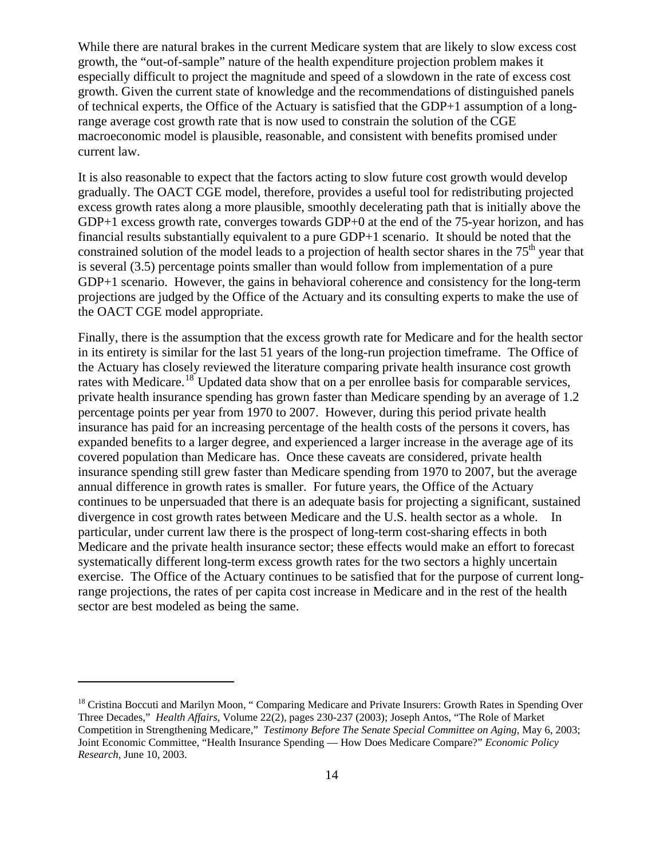While there are natural brakes in the current Medicare system that are likely to slow excess cost growth, the "out-of-sample" nature of the health expenditure projection problem makes it especially difficult to project the magnitude and speed of a slowdown in the rate of excess cost growth. Given the current state of knowledge and the recommendations of distinguished panels of technical experts, the Office of the Actuary is satisfied that the GDP+1 assumption of a longrange average cost growth rate that is now used to constrain the solution of the CGE macroeconomic model is plausible, reasonable, and consistent with benefits promised under current law.

It is also reasonable to expect that the factors acting to slow future cost growth would develop gradually. The OACT CGE model, therefore, provides a useful tool for redistributing projected excess growth rates along a more plausible, smoothly decelerating path that is initially above the GDP+1 excess growth rate, converges towards GDP+0 at the end of the 75-year horizon, and has financial results substantially equivalent to a pure GDP+1 scenario. It should be noted that the constrained solution of the model leads to a projection of health sector shares in the  $75<sup>th</sup>$  year that is several (3.5) percentage points smaller than would follow from implementation of a pure GDP+1 scenario. However, the gains in behavioral coherence and consistency for the long-term projections are judged by the Office of the Actuary and its consulting experts to make the use of the OACT CGE model appropriate.

Finally, there is the assumption that the excess growth rate for Medicare and for the health sector in its entirety is similar for the last 51 years of the long-run projection timeframe. The Office of the Actuary has closely reviewed the literature comparing private health insurance cost growth rates with Medicare.<sup>[18](#page-13-0)</sup> Updated data show that on a per enrollee basis for comparable services, private health insurance spending has grown faster than Medicare spending by an average of 1.2 percentage points per year from 1970 to 2007. However, during this period private health insurance has paid for an increasing percentage of the health costs of the persons it covers, has expanded benefits to a larger degree, and experienced a larger increase in the average age of its covered population than Medicare has. Once these caveats are considered, private health insurance spending still grew faster than Medicare spending from 1970 to 2007, but the average annual difference in growth rates is smaller. For future years, the Office of the Actuary continues to be unpersuaded that there is an adequate basis for projecting a significant, sustained divergence in cost growth rates between Medicare and the U.S. health sector as a whole. In particular, under current law there is the prospect of long-term cost-sharing effects in both Medicare and the private health insurance sector; these effects would make an effort to forecast systematically different long-term excess growth rates for the two sectors a highly uncertain exercise. The Office of the Actuary continues to be satisfied that for the purpose of current longrange projections, the rates of per capita cost increase in Medicare and in the rest of the health sector are best modeled as being the same.

<span id="page-13-0"></span><sup>&</sup>lt;sup>18</sup> Cristina Boccuti and Marilyn Moon, " Comparing Medicare and Private Insurers: Growth Rates in Spending Over Three Decades," *Health Affairs*, Volume 22(2), pages 230-237 (2003); Joseph Antos, "The Role of Market Competition in Strengthening Medicare," *Testimony Before The Senate Special Committee on Aging*, May 6, 2003; Joint Economic Committee, "Health Insurance Spending — How Does Medicare Compare?" *Economic Policy Research*, June 10, 2003.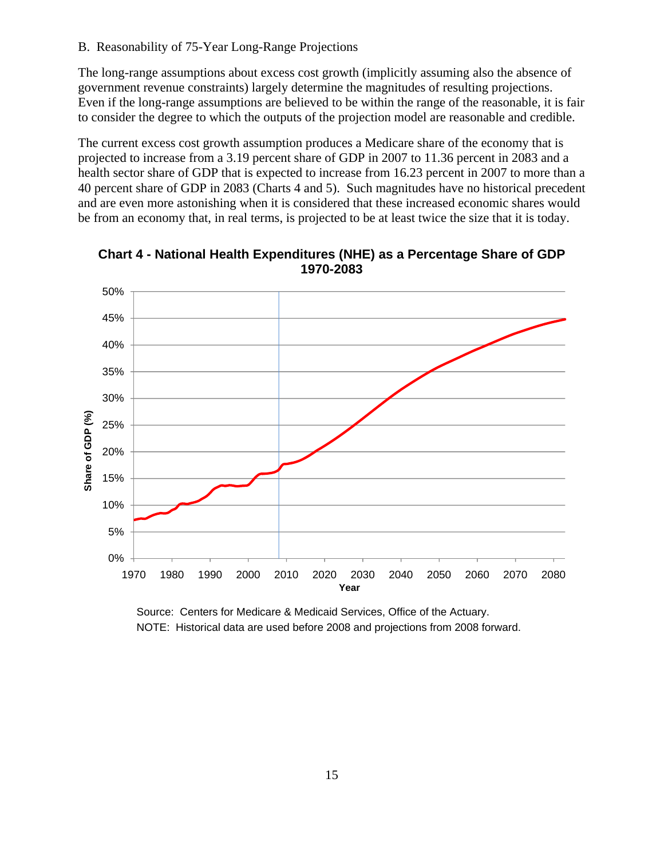## B. Reasonability of 75-Year Long-Range Projections

The long-range assumptions about excess cost growth (implicitly assuming also the absence of government revenue constraints) largely determine the magnitudes of resulting projections. Even if the long-range assumptions are believed to be within the range of the reasonable, it is fair to consider the degree to which the outputs of the projection model are reasonable and credible.

The current excess cost growth assumption produces a Medicare share of the economy that is projected to increase from a 3.19 percent share of GDP in 2007 to 11.36 percent in 2083 and a health sector share of GDP that is expected to increase from 16.23 percent in 2007 to more than a 40 percent share of GDP in 2083 (Charts 4 and 5). Such magnitudes have no historical precedent and are even more astonishing when it is considered that these increased economic shares would be from an economy that, in real terms, is projected to be at least twice the size that it is today.



**Chart 4 - National Health Expenditures (NHE) as a Percentage Share of GDP 1970-2083** 

Source: Centers for Medicare & Medicaid Services, Office of the Actuary. NOTE: Historical data are used before 2008 and projections from 2008 forward.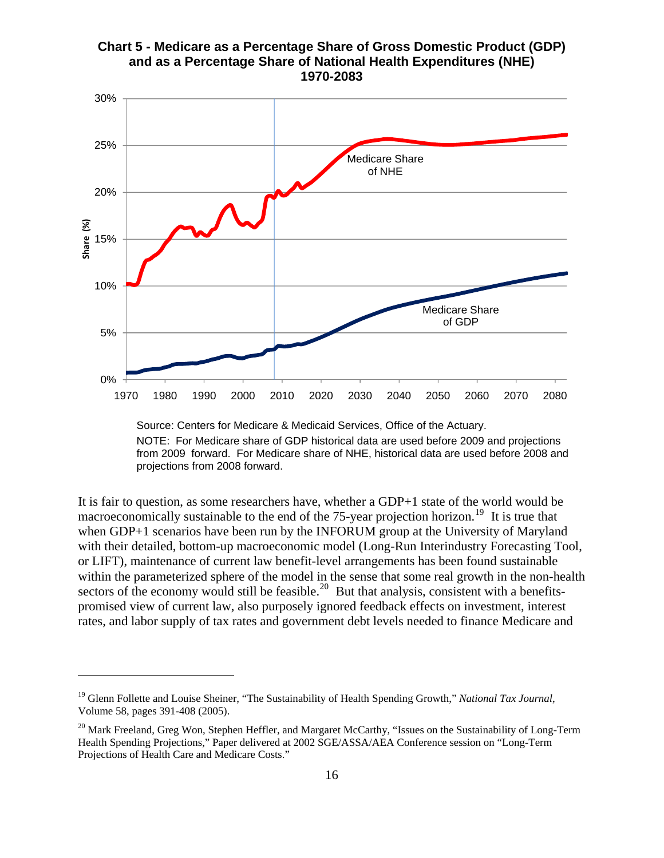# **Chart 5 - Medicare as a Percentage Share of Gross Domestic Product (GDP) and as a Percentage Share of National Health Expenditures (NHE) 1970-2083**



NOTE: For Medicare share of GDP historical data are used before 2009 and projections from 2009 forward. For Medicare share of NHE, historical data are used before 2008 and projections from 2008 forward.

It is fair to question, as some researchers have, whether a GDP+1 state of the world would be macroeconomically sustainable to the end of the  $75$ -year projection horizon.<sup>[19](#page-15-0)</sup> It is true that when GDP+1 scenarios have been run by the INFORUM group at the University of Maryland with their detailed, bottom-up macroeconomic model (Long-Run Interindustry Forecasting Tool, or LIFT), maintenance of current law benefit-level arrangements has been found sustainable within the parameterized sphere of the model in the sense that some real growth in the non-health sectors of the economy would still be feasible.<sup>[20](#page-15-1)</sup> But that analysis, consistent with a benefitspromised view of current law, also purposely ignored feedback effects on investment, interest rates, and labor supply of tax rates and government debt levels needed to finance Medicare and

<span id="page-15-0"></span><sup>19</sup> Glenn Follette and Louise Sheiner, "The Sustainability of Health Spending Growth," *National Tax Journal*, Volume 58, pages 391-408 (2005).

<span id="page-15-1"></span><sup>&</sup>lt;sup>20</sup> Mark Freeland, Greg Won, Stephen Heffler, and Margaret McCarthy, "Issues on the Sustainability of Long-Term Health Spending Projections," Paper delivered at 2002 SGE/ASSA/AEA Conference session on "Long-Term Projections of Health Care and Medicare Costs."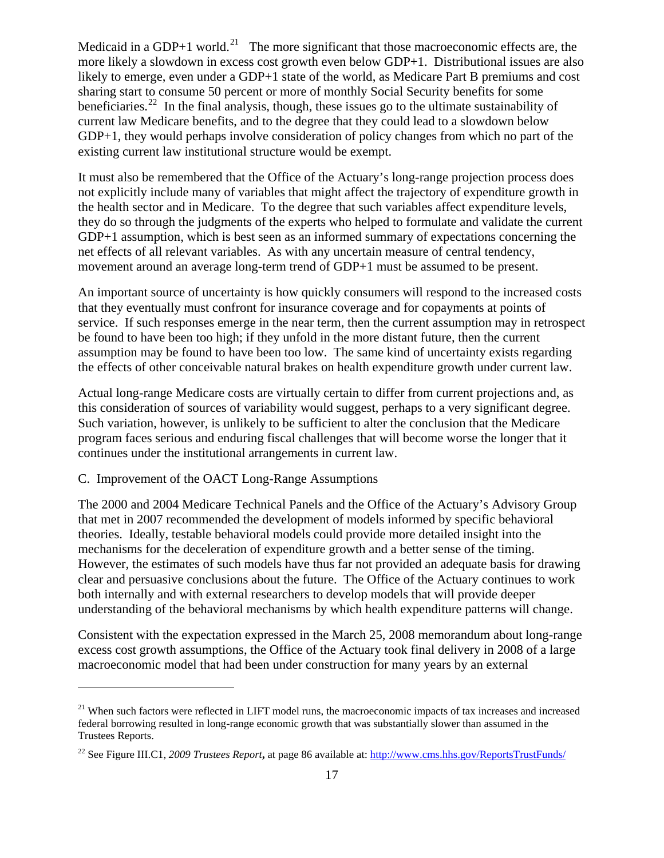Medicaid in a GDP+1 world.<sup>[21](#page-16-0)</sup> The more significant that those macroeconomic effects are, the more likely a slowdown in excess cost growth even below GDP+1. Distributional issues are also likely to emerge, even under a GDP+1 state of the world, as Medicare Part B premiums and cost sharing start to consume 50 percent or more of monthly Social Security benefits for some beneficiaries.<sup>[22](#page-16-1)</sup> In the final analysis, though, these issues go to the ultimate sustainability of current law Medicare benefits, and to the degree that they could lead to a slowdown below GDP+1, they would perhaps involve consideration of policy changes from which no part of the existing current law institutional structure would be exempt.

It must also be remembered that the Office of the Actuary's long-range projection process does not explicitly include many of variables that might affect the trajectory of expenditure growth in the health sector and in Medicare. To the degree that such variables affect expenditure levels, they do so through the judgments of the experts who helped to formulate and validate the current GDP+1 assumption, which is best seen as an informed summary of expectations concerning the net effects of all relevant variables. As with any uncertain measure of central tendency, movement around an average long-term trend of GDP+1 must be assumed to be present.

An important source of uncertainty is how quickly consumers will respond to the increased costs that they eventually must confront for insurance coverage and for copayments at points of service. If such responses emerge in the near term, then the current assumption may in retrospect be found to have been too high; if they unfold in the more distant future, then the current assumption may be found to have been too low. The same kind of uncertainty exists regarding the effects of other conceivable natural brakes on health expenditure growth under current law.

Actual long-range Medicare costs are virtually certain to differ from current projections and, as this consideration of sources of variability would suggest, perhaps to a very significant degree. Such variation, however, is unlikely to be sufficient to alter the conclusion that the Medicare program faces serious and enduring fiscal challenges that will become worse the longer that it continues under the institutional arrangements in current law.

## C. Improvement of the OACT Long-Range Assumptions

 $\overline{a}$ 

The 2000 and 2004 Medicare Technical Panels and the Office of the Actuary's Advisory Group that met in 2007 recommended the development of models informed by specific behavioral theories. Ideally, testable behavioral models could provide more detailed insight into the mechanisms for the deceleration of expenditure growth and a better sense of the timing. However, the estimates of such models have thus far not provided an adequate basis for drawing clear and persuasive conclusions about the future. The Office of the Actuary continues to work both internally and with external researchers to develop models that will provide deeper understanding of the behavioral mechanisms by which health expenditure patterns will change.

Consistent with the expectation expressed in the March 25, 2008 memorandum about long-range excess cost growth assumptions, the Office of the Actuary took final delivery in 2008 of a large macroeconomic model that had been under construction for many years by an external

<span id="page-16-0"></span> $21$  When such factors were reflected in LIFT model runs, the macroeconomic impacts of tax increases and increased federal borrowing resulted in long-range economic growth that was substantially slower than assumed in the Trustees Reports.

<span id="page-16-1"></span><sup>22</sup> See Figure III.C1, *2009 Trustees Report***,** at page 86 available at:<http://www.cms.hhs.gov/ReportsTrustFunds/>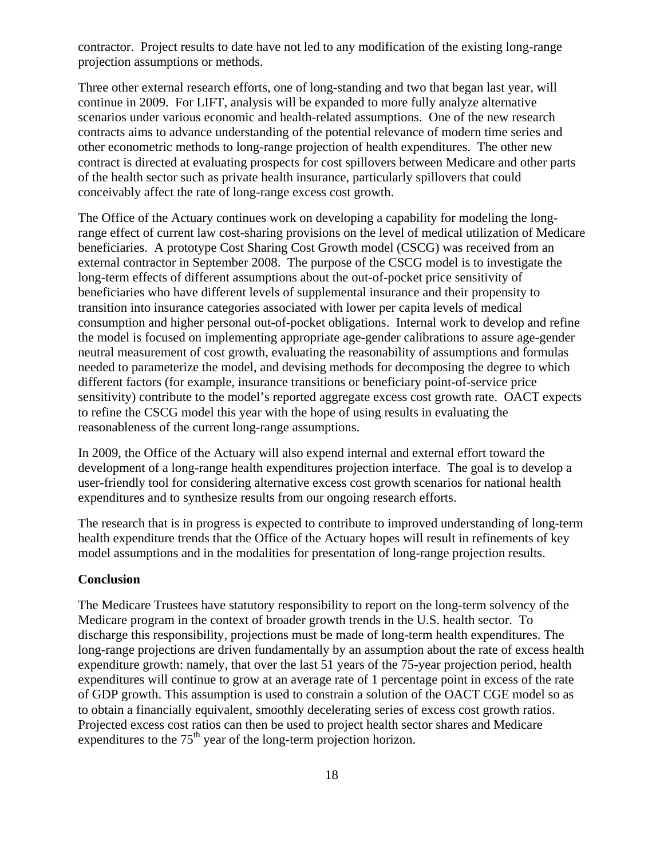contractor. Project results to date have not led to any modification of the existing long-range projection assumptions or methods.

Three other external research efforts, one of long-standing and two that began last year, will continue in 2009. For LIFT, analysis will be expanded to more fully analyze alternative scenarios under various economic and health-related assumptions. One of the new research contracts aims to advance understanding of the potential relevance of modern time series and other econometric methods to long-range projection of health expenditures. The other new contract is directed at evaluating prospects for cost spillovers between Medicare and other parts of the health sector such as private health insurance, particularly spillovers that could conceivably affect the rate of long-range excess cost growth.

The Office of the Actuary continues work on developing a capability for modeling the longrange effect of current law cost-sharing provisions on the level of medical utilization of Medicare beneficiaries. A prototype Cost Sharing Cost Growth model (CSCG) was received from an external contractor in September 2008. The purpose of the CSCG model is to investigate the long-term effects of different assumptions about the out-of-pocket price sensitivity of beneficiaries who have different levels of supplemental insurance and their propensity to transition into insurance categories associated with lower per capita levels of medical consumption and higher personal out-of-pocket obligations. Internal work to develop and refine the model is focused on implementing appropriate age-gender calibrations to assure age-gender neutral measurement of cost growth, evaluating the reasonability of assumptions and formulas needed to parameterize the model, and devising methods for decomposing the degree to which different factors (for example, insurance transitions or beneficiary point-of-service price sensitivity) contribute to the model's reported aggregate excess cost growth rate. OACT expects to refine the CSCG model this year with the hope of using results in evaluating the reasonableness of the current long-range assumptions.

In 2009, the Office of the Actuary will also expend internal and external effort toward the development of a long-range health expenditures projection interface. The goal is to develop a user-friendly tool for considering alternative excess cost growth scenarios for national health expenditures and to synthesize results from our ongoing research efforts.

The research that is in progress is expected to contribute to improved understanding of long-term health expenditure trends that the Office of the Actuary hopes will result in refinements of key model assumptions and in the modalities for presentation of long-range projection results.

# **Conclusion**

The Medicare Trustees have statutory responsibility to report on the long-term solvency of the Medicare program in the context of broader growth trends in the U.S. health sector. To discharge this responsibility, projections must be made of long-term health expenditures. The long-range projections are driven fundamentally by an assumption about the rate of excess health expenditure growth: namely, that over the last 51 years of the 75-year projection period, health expenditures will continue to grow at an average rate of 1 percentage point in excess of the rate of GDP growth. This assumption is used to constrain a solution of the OACT CGE model so as to obtain a financially equivalent, smoothly decelerating series of excess cost growth ratios. Projected excess cost ratios can then be used to project health sector shares and Medicare expenditures to the  $75<sup>th</sup>$  year of the long-term projection horizon.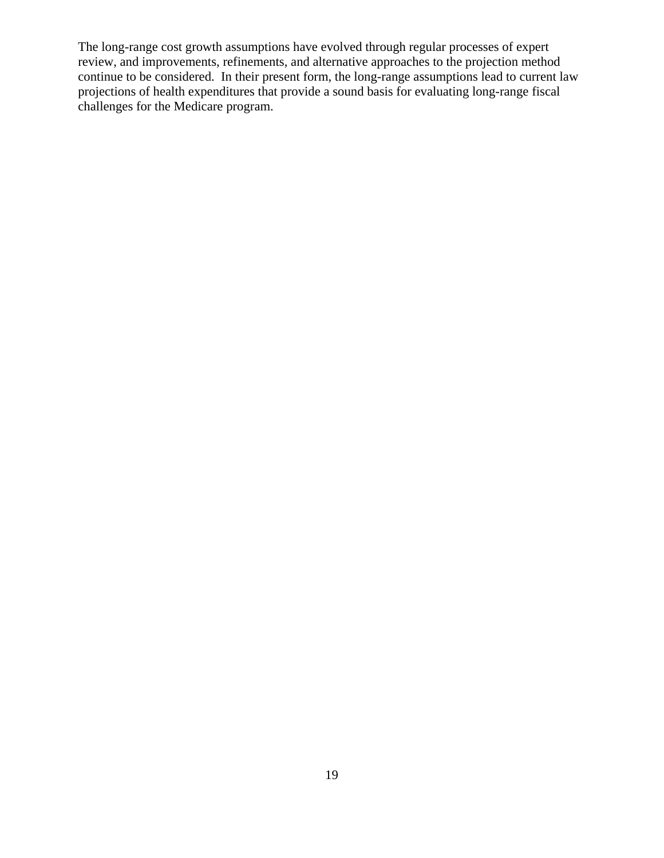The long-range cost growth assumptions have evolved through regular processes of expert review, and improvements, refinements, and alternative approaches to the projection method continue to be considered. In their present form, the long-range assumptions lead to current law projections of health expenditures that provide a sound basis for evaluating long-range fiscal challenges for the Medicare program.